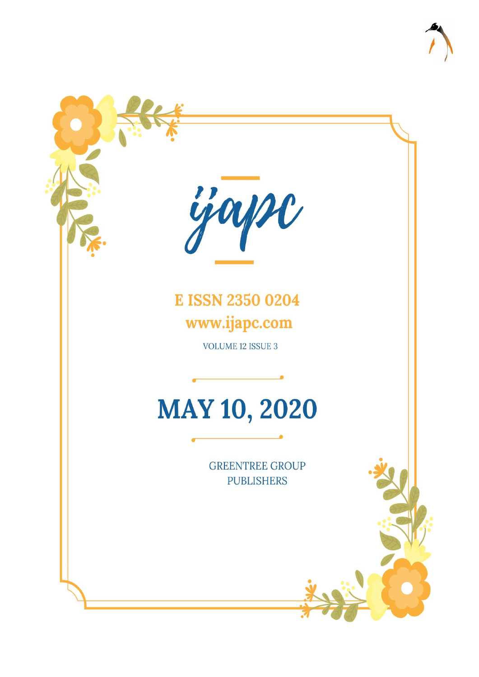

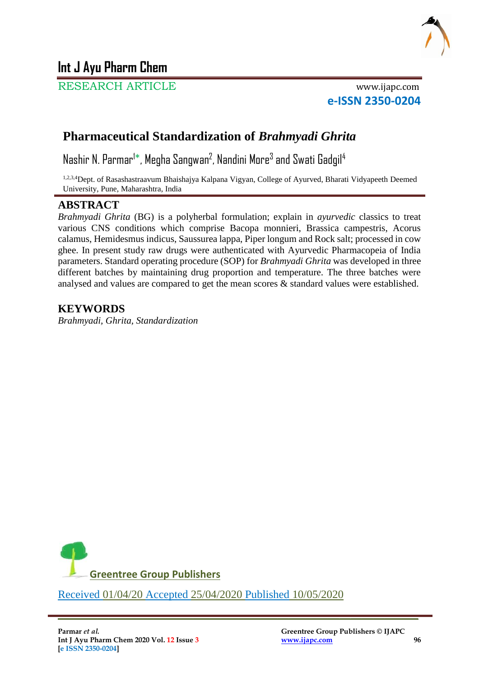

# **Int J Ayu Pharm Chem**

RESEARCH ARTICLE www.ijapc.com

**e-ISSN 2350-0204**

# **Pharmaceutical Standardization of** *Brahmyadi Ghrita*

Nashir N. Parmar<sup>1\*</sup>, Megha Sangwan<sup>2</sup>, Nandini More<sup>3</sup> and Swati Gadgil<sup>4</sup>

1,2,3,4Dept. of Rasashastraavum Bhaishajya Kalpana Vigyan, College of Ayurved, Bharati Vidyapeeth Deemed University, Pune, Maharashtra, India

## **ABSTRACT**

*Brahmyadi Ghrita* (BG) is a polyherbal formulation; explain in *ayurvedic* classics to treat various CNS conditions which comprise Bacopa monnieri, Brassica campestris, Acorus calamus, Hemidesmus indicus, Saussurea lappa, Piper longum and Rock salt; processed in cow ghee. In present study raw drugs were authenticated with Ayurvedic Pharmacopeia of India parameters. Standard operating procedure (SOP) for *Brahmyadi Ghrita* was developed in three different batches by maintaining drug proportion and temperature. The three batches were analysed and values are compared to get the mean scores & standard values were established.

## **KEYWORDS**

*Brahmyadi, Ghrita, Standardization*



\_\_\_\_\_\_\_\_\_\_\_\_\_\_\_\_\_\_\_\_\_\_\_\_\_\_\_\_\_\_\_\_\_\_\_\_\_\_\_\_\_\_\_\_\_\_\_\_\_\_\_\_\_\_\_\_\_\_\_\_\_\_\_\_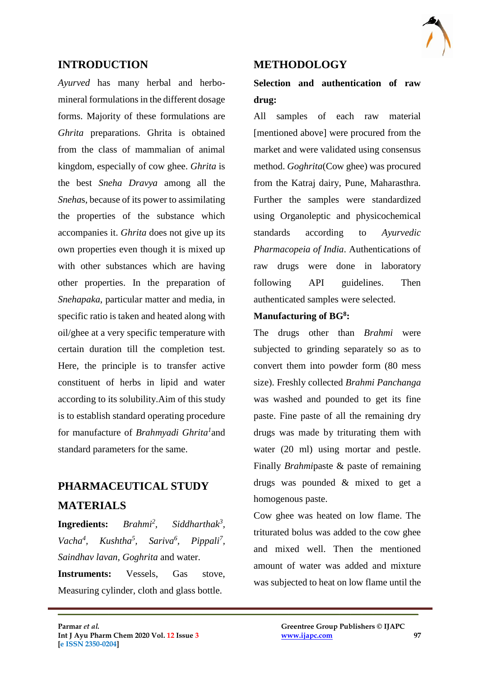

### **INTRODUCTION**

*Ayurved* has many herbal and herbomineral formulations in the different dosage forms. Majority of these formulations are *Ghrita* preparations. Ghrita is obtained from the class of mammalian of animal kingdom, especially of cow ghee. *Ghrita* is the best *Sneha Dravya* among all the *Sneha*s, because of its power to assimilating the properties of the substance which accompanies it. *Ghrita* does not give up its own properties even though it is mixed up with other substances which are having other properties. In the preparation of *Snehapaka*, particular matter and media, in specific ratio is taken and heated along with oil/ghee at a very specific temperature with certain duration till the completion test. Here, the principle is to transfer active constituent of herbs in lipid and water according to its solubility.Aim of this study is to establish standard operating procedure for manufacture of *Brahmyadi Ghrita<sup>1</sup>* and standard parameters for the same.

# **PHARMACEUTICAL STUDY MATERIALS**

**Ingredients:** *Brahmi<sup>2</sup> , Siddharthak<sup>3</sup> , Vacha<sup>4</sup> , Kushtha<sup>5</sup> , Sariva<sup>6</sup> , Pippali<sup>7</sup> , Saindhav lavan, Goghrita* and water. **Instruments:** Vessels, Gas stove, Measuring cylinder, cloth and glass bottle.

 $\mathcal{L}_\mathcal{L}$  , and the contribution of the contribution of the contribution of the contribution of the contribution of the contribution of the contribution of the contribution of the contribution of the contribution of

### **METHODOLOGY**

# **Selection and authentication of raw drug:**

All samples of each raw material [mentioned above] were procured from the market and were validated using consensus method. *Goghrita*(Cow ghee) was procured from the Katraj dairy, Pune, Maharasthra. Further the samples were standardized using Organoleptic and physicochemical standards according to *Ayurvedic Pharmacopeia of India*. Authentications of raw drugs were done in laboratory following API guidelines. Then authenticated samples were selected.

#### **Manufacturing of BG<sup>8</sup> :**

The drugs other than *Brahmi* were subjected to grinding separately so as to convert them into powder form (80 mess size). Freshly collected *Brahmi Panchanga* was washed and pounded to get its fine paste. Fine paste of all the remaining dry drugs was made by triturating them with water (20 ml) using mortar and pestle. Finally *Brahmi*paste & paste of remaining drugs was pounded & mixed to get a homogenous paste.

Cow ghee was heated on low flame. The triturated bolus was added to the cow ghee and mixed well. Then the mentioned amount of water was added and mixture was subjected to heat on low flame until the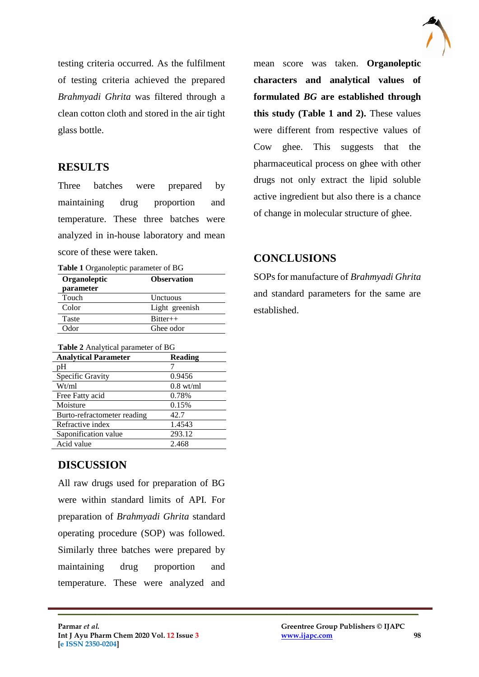

testing criteria occurred. As the fulfilment of testing criteria achieved the prepared *Brahmyadi Ghrita* was filtered through a clean cotton cloth and stored in the air tight glass bottle.

### **RESULTS**

Three batches were prepared by maintaining drug proportion and temperature. These three batches were analyzed in in-house laboratory and mean score of these were taken.

**Table 1** Organoleptic parameter of BG

| Organoleptic | <b>Observation</b> |
|--------------|--------------------|
| parameter    |                    |
| Touch        | Unctuous           |
| Color        | Light greenish     |
| Taste        | $Ritter++$         |
| Odor         | Ghee odor          |

| <b>Table 2</b> Analytical parameter of BG |                     |  |
|-------------------------------------------|---------------------|--|
| <b>Analytical Parameter</b>               | <b>Reading</b>      |  |
| pH                                        |                     |  |
| Specific Gravity                          | 0.9456              |  |
| Wt/ml                                     | $0.8 \text{ wt/ml}$ |  |
| Free Fatty acid                           | 0.78%               |  |
| Moisture                                  | 0.15%               |  |
| Burto-refractometer reading               | 42.7                |  |
| Refractive index                          | 1.4543              |  |
| Saponification value                      | 293.12              |  |
| Acid value                                | 2.468               |  |

mean score was taken. **Organoleptic characters and analytical values of formulated** *BG* **are established through this study (Table 1 and 2).** These values were different from respective values of Cow ghee. This suggests that the pharmaceutical process on ghee with other drugs not only extract the lipid soluble active ingredient but also there is a chance of change in molecular structure of ghee.

### **CONCLUSIONS**

SOPs for manufacture of *Brahmyadi Ghrita*  and standard parameters for the same are established.

## **DISCUSSION**

All raw drugs used for preparation of BG were within standard limits of API. For preparation of *Brahmyadi Ghrita* standard operating procedure (SOP) was followed. Similarly three batches were prepared by maintaining drug proportion and temperature. These were analyzed and

 $\mathcal{L}_\mathcal{L}$  , and the contribution of the contribution of the contribution of the contribution of the contribution of the contribution of the contribution of the contribution of the contribution of the contribution of